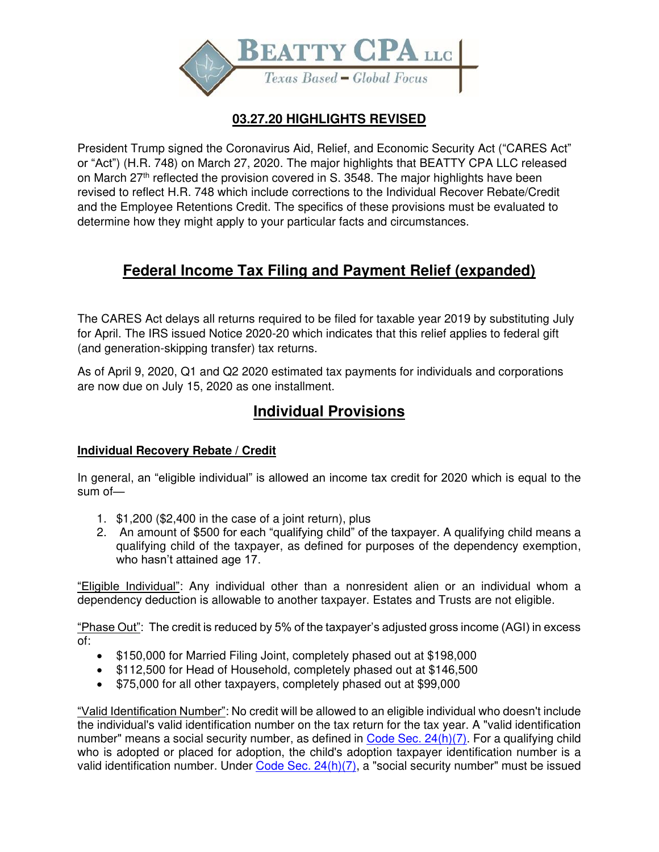

## **03.27.20 HIGHLIGHTS REVISED**

President Trump signed the Coronavirus Aid, Relief, and Economic Security Act ("CARES Act" or "Act") (H.R. 748) on March 27, 2020. The major highlights that BEATTY CPA LLC released on March 27<sup>th</sup> reflected the provision covered in S. 3548. The major highlights have been revised to reflect H.R. 748 which include corrections to the Individual Recover Rebate/Credit and the Employee Retentions Credit. The specifics of these provisions must be evaluated to determine how they might apply to your particular facts and circumstances.

# **Federal Income Tax Filing and Payment Relief (expanded)**

The CARES Act delays all returns required to be filed for taxable year 2019 by substituting July for April. The IRS issued Notice 2020-20 which indicates that this relief applies to federal gift (and generation-skipping transfer) tax returns.

As of April 9, 2020, Q1 and Q2 2020 estimated tax payments for individuals and corporations are now due on July 15, 2020 as one installment.

# **Individual Provisions**

## **Individual Recovery Rebate / Credit**

In general, an "eligible individual" is allowed an income tax credit for 2020 which is equal to the sum of—

- 1. \$1,200 (\$2,400 in the case of a joint return), plus
- 2. An amount of \$500 for each "qualifying child" of the taxpayer. A qualifying child means a qualifying child of the taxpayer, as defined for purposes of the dependency exemption, who hasn't attained age 17.

"Eligible Individual": Any individual other than a nonresident alien or an individual whom a dependency deduction is allowable to another taxpayer. Estates and Trusts are not eligible.

"Phase Out": The credit is reduced by 5% of the taxpayer's adjusted gross income (AGI) in excess of:

- \$150,000 for Married Filing Joint, completely phased out at \$198,000
- \$112,500 for Head of Household, completely phased out at \$146,500
- \$75,000 for all other taxpayers, completely phased out at \$99,000

"Valid Identification Number": No credit will be allowed to an eligible individual who doesn't include the individual's valid identification number on the tax return for the tax year. A "valid identification number" means a social security number, as defined in  $Code$  Sec.  $24(h)(7)$ . For a qualifying child who is adopted or placed for adoption, the child's adoption taxpayer identification number is a valid identification number. Under [Code Sec. 24\(h\)\(7\),](https://checkpoint.riag.com/app/main/docLinkNew?DocID=i5eb79a18f22c6a0285d5f7e40d871c70&SrcDocId=T0FEDNEWS%3AI871cf33b0eee4c7-2&feature=tnews&lastCpReqId=2660cd&pinpnt=TCODE%3A48324.1&tabPg=4210&d=d) a "social security number" must be issued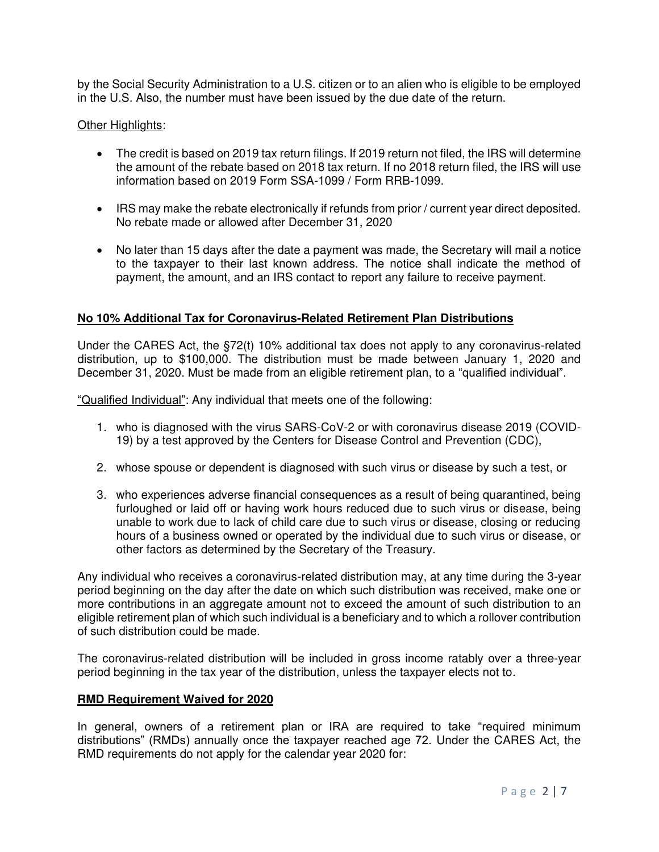by the Social Security Administration to a U.S. citizen or to an alien who is eligible to be employed in the U.S. Also, the number must have been issued by the due date of the return.

#### Other Highlights:

- The credit is based on 2019 tax return filings. If 2019 return not filed, the IRS will determine the amount of the rebate based on 2018 tax return. If no 2018 return filed, the IRS will use information based on 2019 Form SSA-1099 / Form RRB-1099.
- IRS may make the rebate electronically if refunds from prior / current year direct deposited. No rebate made or allowed after December 31, 2020
- No later than 15 days after the date a payment was made, the Secretary will mail a notice to the taxpayer to their last known address. The notice shall indicate the method of payment, the amount, and an IRS contact to report any failure to receive payment.

#### **No 10% Additional Tax for Coronavirus-Related Retirement Plan Distributions**

Under the CARES Act, the §72(t) 10% additional tax does not apply to any coronavirus-related distribution, up to \$100,000. The distribution must be made between January 1, 2020 and December 31, 2020. Must be made from an eligible retirement plan, to a "qualified individual".

"Qualified Individual": Any individual that meets one of the following:

- 1. who is diagnosed with the virus SARS-CoV-2 or with coronavirus disease 2019 (COVID-19) by a test approved by the Centers for Disease Control and Prevention (CDC),
- 2. whose spouse or dependent is diagnosed with such virus or disease by such a test, or
- 3. who experiences adverse financial consequences as a result of being quarantined, being furloughed or laid off or having work hours reduced due to such virus or disease, being unable to work due to lack of child care due to such virus or disease, closing or reducing hours of a business owned or operated by the individual due to such virus or disease, or other factors as determined by the Secretary of the Treasury.

Any individual who receives a coronavirus-related distribution may, at any time during the 3-year period beginning on the day after the date on which such distribution was received, make one or more contributions in an aggregate amount not to exceed the amount of such distribution to an eligible retirement plan of which such individual is a beneficiary and to which a rollover contribution of such distribution could be made.

The coronavirus-related distribution will be included in gross income ratably over a three-year period beginning in the tax year of the distribution, unless the taxpayer elects not to.

#### **RMD Requirement Waived for 2020**

In general, owners of a retirement plan or IRA are required to take "required minimum distributions" (RMDs) annually once the taxpayer reached age 72. Under the CARES Act, the RMD requirements do not apply for the calendar year 2020 for: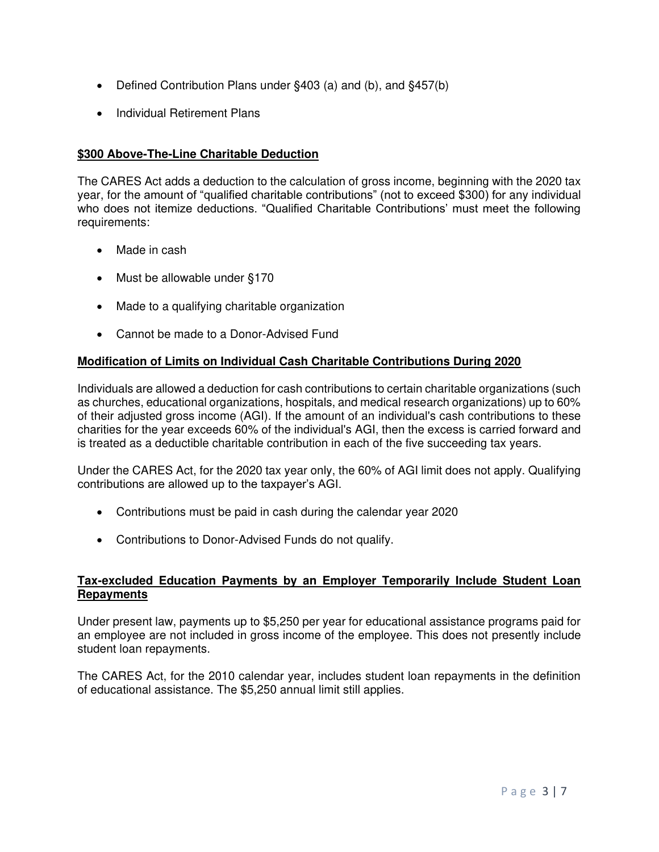- Defined Contribution Plans under §403 (a) and (b), and §457(b)
- Individual Retirement Plans

## **\$300 Above-The-Line Charitable Deduction**

The CARES Act adds a deduction to the calculation of gross income, beginning with the 2020 tax year, for the amount of "qualified charitable contributions" (not to exceed \$300) for any individual who does not itemize deductions. "Qualified Charitable Contributions' must meet the following requirements:

- Made in cash
- Must be allowable under §170
- Made to a qualifying charitable organization
- Cannot be made to a Donor-Advised Fund

#### **Modification of Limits on Individual Cash Charitable Contributions During 2020**

Individuals are allowed a deduction for cash contributions to certain charitable organizations (such as churches, educational organizations, hospitals, and medical research organizations) up to 60% of their adjusted gross income (AGI). If the amount of an individual's cash contributions to these charities for the year exceeds 60% of the individual's AGI, then the excess is carried forward and is treated as a deductible charitable contribution in each of the five succeeding tax years.

Under the CARES Act, for the 2020 tax year only, the 60% of AGI limit does not apply. Qualifying contributions are allowed up to the taxpayer's AGI.

- Contributions must be paid in cash during the calendar year 2020
- Contributions to Donor-Advised Funds do not qualify.

#### **Tax-excluded Education Payments by an Employer Temporarily Include Student Loan Repayments**

Under present law, payments up to \$5,250 per year for educational assistance programs paid for an employee are not included in gross income of the employee. This does not presently include student loan repayments.

The CARES Act, for the 2010 calendar year, includes student loan repayments in the definition of educational assistance. The \$5,250 annual limit still applies.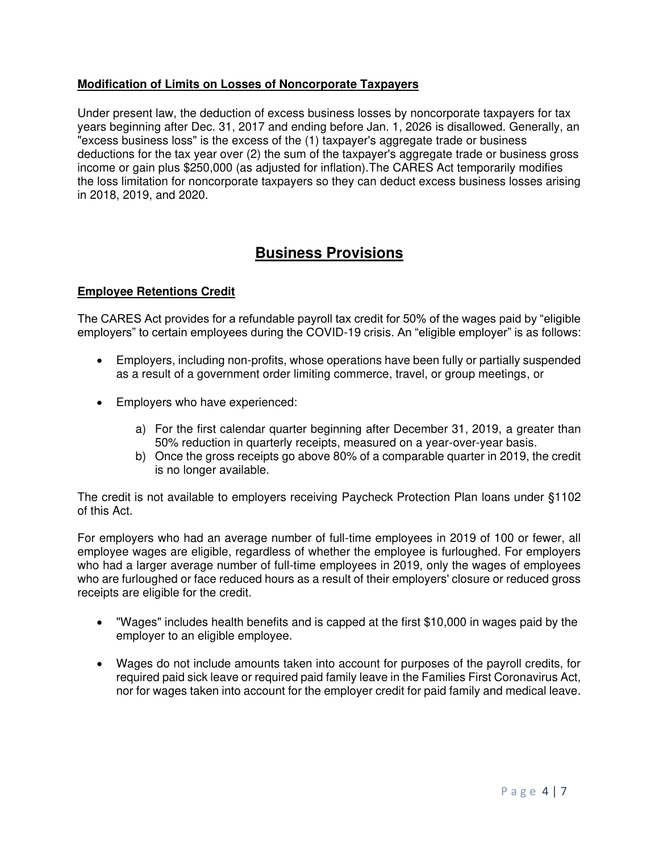### **Modification of Limits on Losses of Noncorporate Taxpayers**

Under present law, the deduction of excess business losses by noncorporate taxpayers for tax years beginning after Dec. 31, 2017 and ending before Jan. 1, 2026 is disallowed. Generally, an "excess business loss" is the excess of the (1) taxpayer's aggregate trade or business deductions for the tax year over (2) the sum of the taxpayer's aggregate trade or business gross income or gain plus \$250,000 (as adjusted for inflation).The CARES Act temporarily modifies the loss limitation for noncorporate taxpayers so they can deduct excess business losses arising in 2018, 2019, and 2020.

## **Business Provisions**

### **Employee Retentions Credit**

The CARES Act provides for a refundable payroll tax credit for 50% of the wages paid by "eligible employers" to certain employees during the COVID-19 crisis. An "eligible employer" is as follows:

- Employers, including non-profits, whose operations have been fully or partially suspended as a result of a government order limiting commerce, travel, or group meetings, or
- Employers who have experienced:
	- a) For the first calendar quarter beginning after December 31, 2019, a greater than 50% reduction in quarterly receipts, measured on a year-over-year basis.
	- b) Once the gross receipts go above 80% of a comparable quarter in 2019, the credit is no longer available.

The credit is not available to employers receiving Paycheck Protection Plan loans under §1102 of this Act.

For employers who had an average number of full-time employees in 2019 of 100 or fewer, all employee wages are eligible, regardless of whether the employee is furloughed. For employers who had a larger average number of full-time employees in 2019, only the wages of employees who are furloughed or face reduced hours as a result of their employers' closure or reduced gross receipts are eligible for the credit.

- "Wages" includes health benefits and is capped at the first \$10,000 in wages paid by the employer to an eligible employee.
- Wages do not include amounts taken into account for purposes of the payroll credits, for required paid sick leave or required paid family leave in the Families First Coronavirus Act, nor for wages taken into account for the employer credit for paid family and medical leave.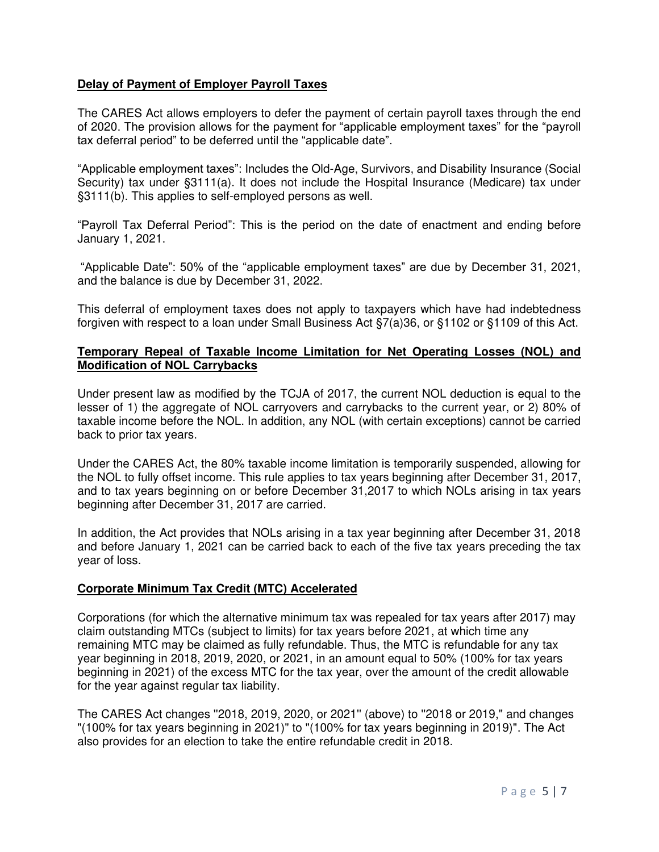### **Delay of Payment of Employer Payroll Taxes**

The CARES Act allows employers to defer the payment of certain payroll taxes through the end of 2020. The provision allows for the payment for "applicable employment taxes" for the "payroll tax deferral period" to be deferred until the "applicable date".

"Applicable employment taxes": Includes the Old-Age, Survivors, and Disability Insurance (Social Security) tax under §3111(a). It does not include the Hospital Insurance (Medicare) tax under §3111(b). This applies to self-employed persons as well.

"Payroll Tax Deferral Period": This is the period on the date of enactment and ending before January 1, 2021.

"Applicable Date": 50% of the "applicable employment taxes" are due by December 31, 2021, and the balance is due by December 31, 2022.

This deferral of employment taxes does not apply to taxpayers which have had indebtedness forgiven with respect to a loan under Small Business Act §7(a)36, or §1102 or §1109 of this Act.

#### **Temporary Repeal of Taxable Income Limitation for Net Operating Losses (NOL) and Modification of NOL Carrybacks**

Under present law as modified by the TCJA of 2017, the current NOL deduction is equal to the lesser of 1) the aggregate of NOL carryovers and carrybacks to the current year, or 2) 80% of taxable income before the NOL. In addition, any NOL (with certain exceptions) cannot be carried back to prior tax years.

Under the CARES Act, the 80% taxable income limitation is temporarily suspended, allowing for the NOL to fully offset income. This rule applies to tax years beginning after December 31, 2017, and to tax years beginning on or before December 31,2017 to which NOLs arising in tax years beginning after December 31, 2017 are carried.

In addition, the Act provides that NOLs arising in a tax year beginning after December 31, 2018 and before January 1, 2021 can be carried back to each of the five tax years preceding the tax year of loss.

#### **Corporate Minimum Tax Credit (MTC) Accelerated**

Corporations (for which the alternative minimum tax was repealed for tax years after 2017) may claim outstanding MTCs (subject to limits) for tax years before 2021, at which time any remaining MTC may be claimed as fully refundable. Thus, the MTC is refundable for any tax year beginning in 2018, 2019, 2020, or 2021, in an amount equal to 50% (100% for tax years beginning in 2021) of the excess MTC for the tax year, over the amount of the credit allowable for the year against regular tax liability.

The CARES Act changes ''2018, 2019, 2020, or 2021'' (above) to ''2018 or 2019," and changes "(100% for tax years beginning in 2021)" to "(100% for tax years beginning in 2019)". The Act also provides for an election to take the entire refundable credit in 2018.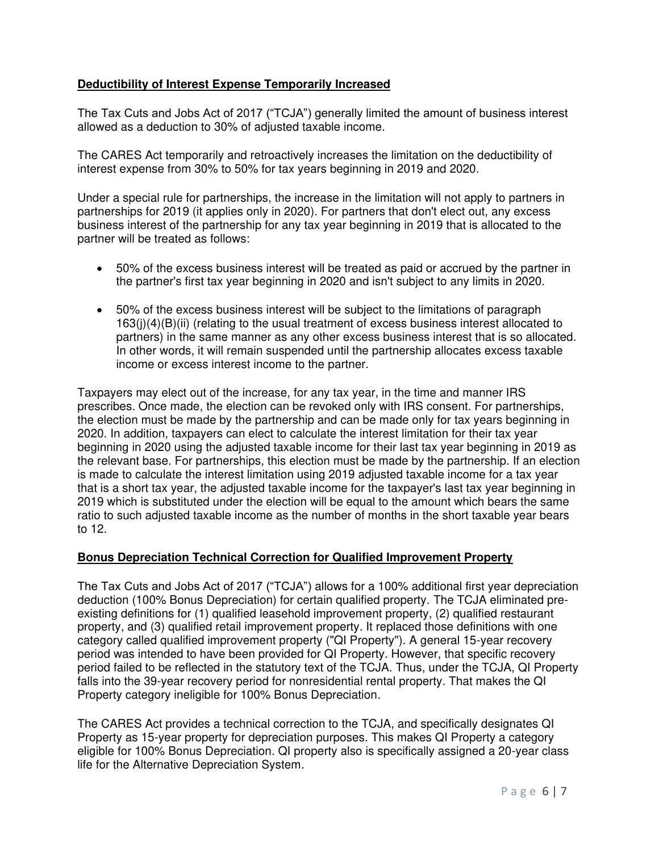## **Deductibility of Interest Expense Temporarily Increased**

The Tax Cuts and Jobs Act of 2017 ("TCJA") generally limited the amount of business interest allowed as a deduction to 30% of adjusted taxable income.

The CARES Act temporarily and retroactively increases the limitation on the deductibility of interest expense from 30% to 50% for tax years beginning in 2019 and 2020.

Under a special rule for partnerships, the increase in the limitation will not apply to partners in partnerships for 2019 (it applies only in 2020). For partners that don't elect out, any excess business interest of the partnership for any tax year beginning in 2019 that is allocated to the partner will be treated as follows:

- 50% of the excess business interest will be treated as paid or accrued by the partner in the partner's first tax year beginning in 2020 and isn't subject to any limits in 2020.
- 50% of the excess business interest will be subject to the limitations of paragraph 163(j)(4)(B)(ii) (relating to the usual treatment of excess business interest allocated to partners) in the same manner as any other excess business interest that is so allocated. In other words, it will remain suspended until the partnership allocates excess taxable income or excess interest income to the partner.

Taxpayers may elect out of the increase, for any tax year, in the time and manner IRS prescribes. Once made, the election can be revoked only with IRS consent. For partnerships, the election must be made by the partnership and can be made only for tax years beginning in 2020. In addition, taxpayers can elect to calculate the interest limitation for their tax year beginning in 2020 using the adjusted taxable income for their last tax year beginning in 2019 as the relevant base. For partnerships, this election must be made by the partnership. If an election is made to calculate the interest limitation using 2019 adjusted taxable income for a tax year that is a short tax year, the adjusted taxable income for the taxpayer's last tax year beginning in 2019 which is substituted under the election will be equal to the amount which bears the same ratio to such adjusted taxable income as the number of months in the short taxable year bears to 12.

#### **Bonus Depreciation Technical Correction for Qualified Improvement Property**

The Tax Cuts and Jobs Act of 2017 ("TCJA") allows for a 100% additional first year depreciation deduction (100% Bonus Depreciation) for certain qualified property. The TCJA eliminated preexisting definitions for (1) qualified leasehold improvement property, (2) qualified restaurant property, and (3) qualified retail improvement property. It replaced those definitions with one category called qualified improvement property ("QI Property"). A general 15-year recovery period was intended to have been provided for QI Property. However, that specific recovery period failed to be reflected in the statutory text of the TCJA. Thus, under the TCJA, QI Property falls into the 39-year recovery period for nonresidential rental property. That makes the QI Property category ineligible for 100% Bonus Depreciation.

The CARES Act provides a technical correction to the TCJA, and specifically designates QI Property as 15-year property for depreciation purposes. This makes QI Property a category eligible for 100% Bonus Depreciation. QI property also is specifically assigned a 20-year class life for the Alternative Depreciation System.